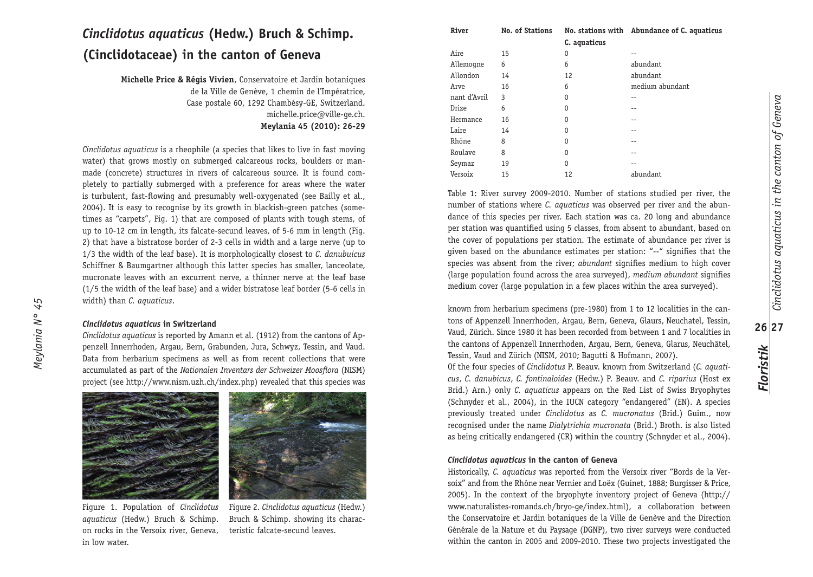# *Cinclidotus aquaticus* **(Hedw.) Bruch & Schimp. (Cinclidotaceae) in the canton of Geneva**

**Michelle Price & Régis Vivien**, Conservatoire et Jardin botaniques de la Ville de Genève, 1 chemin de l'Impératrice, Case postale 60, 1292 Chambésy-GE, Switzerland. michelle.price@ville-ge.ch. **Meylania 45 (2010): 26-29**

*Cinclidotus aquaticus* is a rheophile (a species that likes to live in fast moving water) that grows mostly on submerged calcareous rocks, boulders or manmade (concrete) structures in rivers of calcareous source. It is found completely to partially submerged with a preference for areas where the water is turbulent, fast-flowing and presumably well-oxygenated (see Bailly et al., 2004). It is easy to recognise by its growth in blackish-green patches (sometimes as "carpets", Fig. 1) that are composed of plants with tough stems, of up to 10-12 cm in length, its falcate-secund leaves, of 5-6 mm in length (Fig. 2) that have a bistratose border of 2-3 cells in width and a large nerve (up to 1/3 the width of the leaf base). It is morphologically closest to *C. danubuicus* Schiffner & Baumgartner although this latter species has smaller, lanceolate, mucronate leaves with an excurrent nerve, a thinner nerve at the leaf base (1/5 the width of the leaf base) and a wider bistratose leaf border (5-6 cells in width) than *C. aquaticus*.

## *Cinclidotus aquaticus* **in Switzerland**

*Meylania N° 45*

Meylania N° 45

*Cinclidotus aquaticus* is reported by Amann et al. (1912) from the cantons of Appenzell Innerrhoden, Argau, Bern, Grabunden, Jura, Schwyz, Tessin, and Vaud. Data from herbarium specimens as well as from recent collections that were accumulated as part of the *Nationalen Inventars der Schweizer Moosflora* (NISM) project (see http://www.nism.uzh.ch/index.php) revealed that this species was





on rocks in the Versoix river, Geneva, in low water.

Figure 2. *Cinclidotus aquaticus* (Hedw.) Bruch & Schimp. showing its characteristic falcate-secund leaves.

| River        | <b>No. of Stations</b> |              | No. stations with Abundance of C. aquaticus |
|--------------|------------------------|--------------|---------------------------------------------|
|              |                        | C. aquaticus |                                             |
| Aire         | 15                     | 0            |                                             |
| Allemogne    | 6                      | 6            | abundant                                    |
| Allondon     | 14                     | 12           | abundant                                    |
| Arve         | 16                     | 6            | medium abundant                             |
| nant d'Avril | 3                      | 0            |                                             |
| Drize        | 6                      | 0            |                                             |
| Hermance     | 16                     | 0            | --                                          |
| Laire        | 14                     | 0            |                                             |
| Rhône        | 8                      | $\Omega$     | --                                          |
| Roulave      | 8                      | 0            |                                             |
| Seymaz       | 19                     | 0            | --                                          |
| Versoix      | 15                     | 12           | abundant                                    |
|              |                        |              |                                             |

Table 1: River survey 2009-2010. Number of stations studied per river, the number of stations where *C. aquaticus* was observed per river and the abundance of this species per river. Each station was ca. 20 long and abundance per station was quantified using 5 classes, from absent to abundant, based on the cover of populations per station. The estimate of abundance per river is given based on the abundance estimates per station: "--" signifies that the species was absent from the river; *abundant* signifies medium to high cover (large population found across the area surveyed), *medium abundant* signifies medium cover (large population in a few places within the area surveyed).

known from herbarium specimens (pre-1980) from 1 to 12 localities in the cantons of Appenzell Innerrhoden, Argau, Bern, Geneva, Glaurs, Neuchatel, Tessin, Vaud, Zürich. Since 1980 it has been recorded from between 1 and 7 localities in the cantons of Appenzell Innerrhoden, Argau, Bern, Geneva, Glarus, Neuchâtel, Tessin, Vaud and Zürich (NISM, 2010; Bagutti & Hofmann, 2007).

Of the four species of *Cinclidotus* P. Beauv. known from Switzerland (*C. aquaticus*, *C. danubicus*, *C. fontinaloides* (Hedw.) P. Beauv. and *C. riparius* (Host ex Brid.) Arn.) only *C. aquaticus* appears on the Red List of Swiss Bryophytes (Schnyder et al., 2004), in the IUCN category "endangered" (EN). A species previously treated under *Cinclidotus* as *C. mucronatus* (Brid.) Guim., now recognised under the name *Dialytrichia mucronata* (Brid.) Broth. is also listed as being critically endangered (CR) within the country (Schnyder et al., 2004).

# *Cinclidotus aquaticus* **in the canton of Geneva**

Historically, *C. aquaticus* was reported from the Versoix river "Bords de la Versoix" and from the Rhône near Vernier and Loëx (Guinet, 1888; Burgisser & Price, 2005). In the context of the bryophyte inventory project of Geneva (http:// www.naturalistes-romands.ch/bryo-ge/index.html), a collaboration between the Conservatoire et Jardin botaniques de la Ville de Genève and the Direction Générale de la Nature et du Paysage (DGNP), two river surveys were conducted within the canton in 2005 and 2009-2010. These two projects investigated the